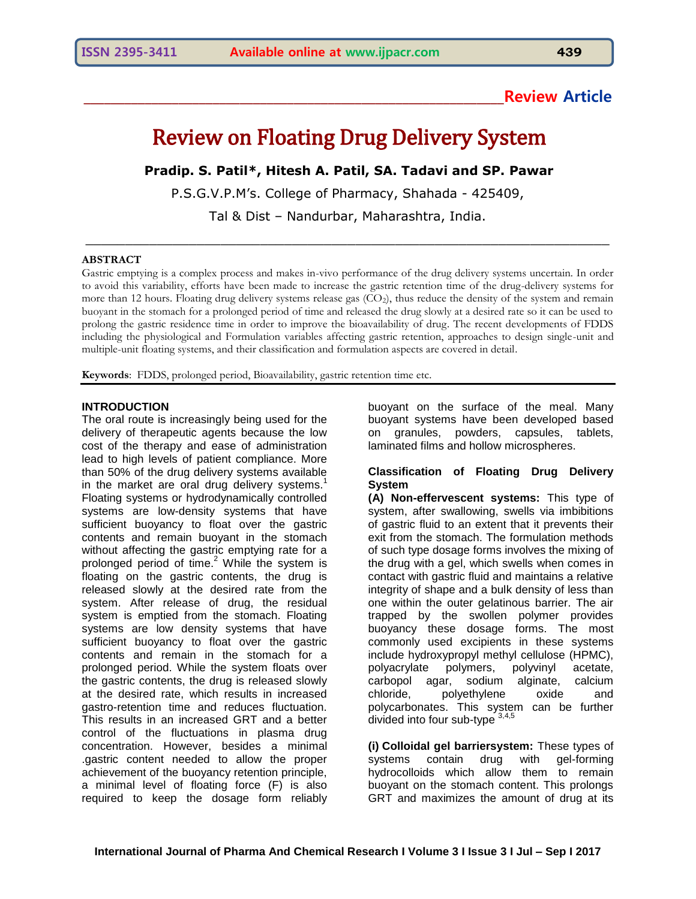## **\_\_\_\_\_\_\_\_\_\_\_\_\_\_\_\_\_\_\_\_\_\_\_\_\_\_\_\_\_\_\_\_\_\_\_\_\_\_\_\_\_\_\_\_\_\_\_\_\_\_\_\_\_\_\_\_\_\_\_\_\_\_Review Article**

# Review on Floating Drug Delivery System

**Pradip. S. Patil\*, Hitesh A. Patil, SA. Tadavi and SP. Pawar**

P.S.G.V.P.M's. College of Pharmacy, Shahada - 425409,

Tal & Dist – Nandurbar, Maharashtra, India.

\_\_\_\_\_\_\_\_\_\_\_\_\_\_\_\_\_\_\_\_\_\_\_\_\_\_\_\_\_\_\_\_\_\_\_\_\_\_\_\_\_\_\_\_\_\_\_\_\_\_\_\_\_\_\_\_\_\_\_\_\_\_\_\_\_\_

#### **ABSTRACT**

Gastric emptying is a complex process and makes in-vivo performance of the drug delivery systems uncertain. In order to avoid this variability, efforts have been made to increase the gastric retention time of the drug-delivery systems for more than 12 hours. Floating drug delivery systems release gas  $(CO<sub>2</sub>)$ , thus reduce the density of the system and remain buoyant in the stomach for a prolonged period of time and released the drug slowly at a desired rate so it can be used to prolong the gastric residence time in order to improve the bioavailability of drug. The recent developments of FDDS including the physiological and Formulation variables affecting gastric retention, approaches to design single-unit and multiple-unit floating systems, and their classification and formulation aspects are covered in detail.

**Keywords**: FDDS, prolonged period, Bioavailability, gastric retention time etc.

#### **INTRODUCTION**

The oral route is increasingly being used for the delivery of therapeutic agents because the low cost of the therapy and ease of administration lead to high levels of patient compliance. More than 50% of the drug delivery systems available in the market are oral drug delivery systems.<sup>1</sup> Floating systems or hydrodynamically controlled systems are low-density systems that have sufficient buoyancy to float over the gastric contents and remain buoyant in the stomach without affecting the gastric emptying rate for a prolonged period of time.<sup>2</sup> While the system is floating on the gastric contents, the drug is released slowly at the desired rate from the system. After release of drug, the residual system is emptied from the stomach. Floating systems are low density systems that have sufficient buoyancy to float over the gastric contents and remain in the stomach for a prolonged period. While the system floats over the gastric contents, the drug is released slowly at the desired rate, which results in increased gastro-retention time and reduces fluctuation. This results in an increased GRT and a better control of the fluctuations in plasma drug concentration. However, besides a minimal .gastric content needed to allow the proper achievement of the buoyancy retention principle, a minimal level of floating force (F) is also required to keep the dosage form reliably

buoyant on the surface of the meal. Many buoyant systems have been developed based on granules, powders, capsules, tablets, laminated films and hollow microspheres.

#### **Classification of Floating Drug Delivery System**

**(A) Non-effervescent systems:** This type of system, after swallowing, swells via imbibitions of gastric fluid to an extent that it prevents their exit from the stomach. The formulation methods of such type dosage forms involves the mixing of the drug with a gel, which swells when comes in contact with gastric fluid and maintains a relative integrity of shape and a bulk density of less than one within the outer gelatinous barrier. The air trapped by the swollen polymer provides buoyancy these dosage forms. The most commonly used excipients in these systems include hydroxypropyl methyl cellulose (HPMC), polyacrylate polymers, polyvinyl acetate, carbopol agar, sodium alginate, calcium chloride, polyethylene oxide and polycarbonates. This system can be further divided into four sub-type  $3,4,5$ 

**(i) Colloidal gel barriersystem:** These types of systems contain drug with gel-forming hydrocolloids which allow them to remain buoyant on the stomach content. This prolongs GRT and maximizes the amount of drug at its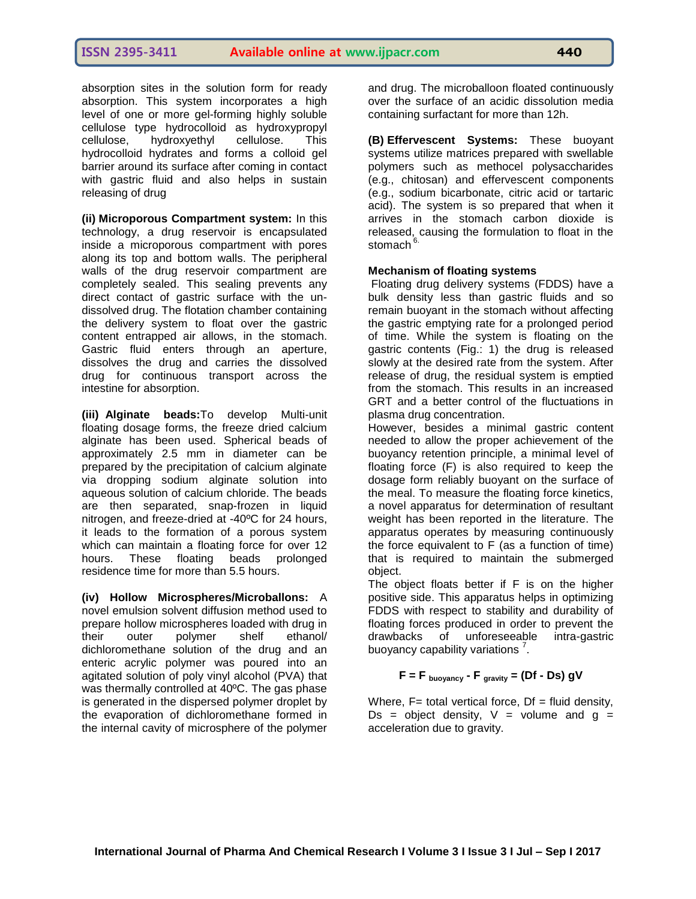absorption sites in the solution form for ready absorption. This system incorporates a high level of one or more gel-forming highly soluble cellulose type hydrocolloid as hydroxypropyl cellulose, hydroxyethyl cellulose. This hydrocolloid hydrates and forms a colloid gel barrier around its surface after coming in contact with gastric fluid and also helps in sustain releasing of drug

**(ii) Microporous Compartment system:** In this technology, a drug reservoir is encapsulated inside a microporous compartment with pores along its top and bottom walls. The peripheral walls of the drug reservoir compartment are completely sealed. This sealing prevents any direct contact of gastric surface with the undissolved drug. The flotation chamber containing the delivery system to float over the gastric content entrapped air allows, in the stomach. Gastric fluid enters through an aperture, dissolves the drug and carries the dissolved drug for continuous transport across the intestine for absorption.

**(iii) Alginate beads:**To develop Multi-unit floating dosage forms, the freeze dried calcium alginate has been used. Spherical beads of approximately 2.5 mm in diameter can be prepared by the precipitation of calcium alginate via dropping sodium alginate solution into aqueous solution of calcium chloride. The beads are then separated, snap-frozen in liquid nitrogen, and freeze-dried at -40ºC for 24 hours, it leads to the formation of a porous system which can maintain a floating force for over 12 hours. These floating beads prolonged residence time for more than 5.5 hours.

**(iv) Hollow Microspheres/Microballons:** A novel emulsion solvent diffusion method used to prepare hollow microspheres loaded with drug in their outer polymer shelf ethanol/ dichloromethane solution of the drug and an enteric acrylic polymer was poured into an agitated solution of poly vinyl alcohol (PVA) that was thermally controlled at 40ºC. The gas phase is generated in the dispersed polymer droplet by the evaporation of dichloromethane formed in the internal cavity of microsphere of the polymer

and drug. The microballoon floated continuously over the surface of an acidic dissolution media containing surfactant for more than 12h.

**(B) Effervescent Systems:** These buoyant systems utilize matrices prepared with swellable polymers such as methocel polysaccharides (e.g., chitosan) and effervescent components (e.g., sodium bicarbonate, citric acid or tartaric acid). The system is so prepared that when it arrives in the stomach carbon dioxide is released, causing the formulation to float in the stomach<sup>6.</sup>

#### **Mechanism of floating systems**

Floating drug delivery systems (FDDS) have a bulk density less than gastric fluids and so remain buoyant in the stomach without affecting the gastric emptying rate for a prolonged period of time. While the system is floating on the gastric contents (Fig.: 1) the drug is released slowly at the desired rate from the system. After release of drug, the residual system is emptied from the stomach. This results in an increased GRT and a better control of the fluctuations in plasma drug concentration.

However, besides a minimal gastric content needed to allow the proper achievement of the buoyancy retention principle, a minimal level of floating force (F) is also required to keep the dosage form reliably buoyant on the surface of the meal. To measure the floating force kinetics, a novel apparatus for determination of resultant weight has been reported in the literature. The apparatus operates by measuring continuously the force equivalent to F (as a function of time) that is required to maintain the submerged object.

The object floats better if F is on the higher positive side. This apparatus helps in optimizing FDDS with respect to stability and durability of floating forces produced in order to prevent the drawbacks of unforeseeable intra-gastric buoyancy capability variations<sup>7</sup>.

## $F = F_{\text{buovancy}} - F_{\text{gravity}} = (Df - Ds) gV$

Where,  $F=$  total vertical force,  $Df =$  fluid density, Ds = object density,  $V =$  volume and  $g =$ acceleration due to gravity.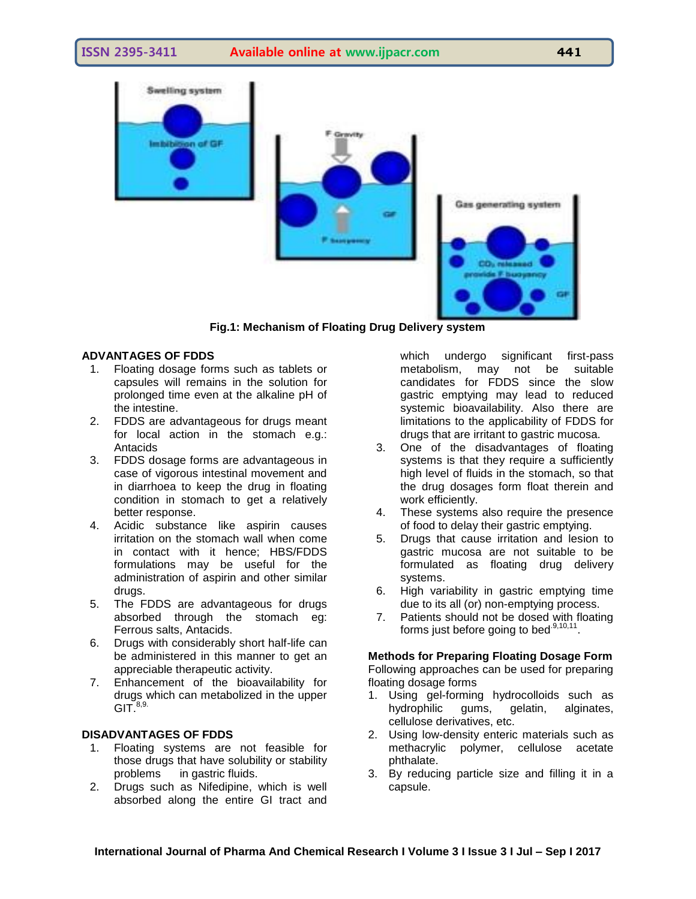**ISSN 2395-3411 Available online at www.ijpacr.com 441**



**Fig.1: Mechanism of Floating Drug Delivery system**

#### **ADVANTAGES OF FDDS**

- 1. Floating dosage forms such as tablets or capsules will remains in the solution for prolonged time even at the alkaline pH of the intestine.
- 2. FDDS are advantageous for drugs meant for local action in the stomach e.g.: Antacids
- 3. FDDS dosage forms are advantageous in case of vigorous intestinal movement and in diarrhoea to keep the drug in floating condition in stomach to get a relatively better response.
- 4. Acidic substance like aspirin causes irritation on the stomach wall when come in contact with it hence; HBS/FDDS formulations may be useful for the administration of aspirin and other similar drugs.
- 5. The FDDS are advantageous for drugs absorbed through the stomach eg: Ferrous salts, Antacids.
- 6. Drugs with considerably short half-life can be administered in this manner to get an appreciable therapeutic activity.
- 7. Enhancement of the bioavailability for drugs which can metabolized in the upper  $GIT.<sup>8,9</sup>$

#### **DISADVANTAGES OF FDDS**

- 1. Floating systems are not feasible for those drugs that have solubility or stability problems in gastric fluids.
- 2. Drugs such as Nifedipine, which is well absorbed along the entire GI tract and

which undergo significant first-pass metabolism, may not be suitable candidates for FDDS since the slow gastric emptying may lead to reduced systemic bioavailability. Also there are limitations to the applicability of FDDS for drugs that are irritant to gastric mucosa.

- 3. One of the disadvantages of floating systems is that they require a sufficiently high level of fluids in the stomach, so that the drug dosages form float therein and work efficiently.
- 4. These systems also require the presence of food to delay their gastric emptying.
- 5. Drugs that cause irritation and lesion to gastric mucosa are not suitable to be formulated as floating drug delivery systems.
- 6. High variability in gastric emptying time due to its all (or) non-emptying process.
- 7. Patients should not be dosed with floating forms just before going to bed $^{.9,10,11}$ .

**Methods for Preparing Floating Dosage Form** Following approaches can be used for preparing floating dosage forms

- 1. Using gel-forming hydrocolloids such as hydrophilic gums, gelatin, alginates, cellulose derivatives, etc.
- 2. Using low-density enteric materials such as methacrylic polymer, cellulose acetate phthalate.
- 3. By reducing particle size and filling it in a capsule.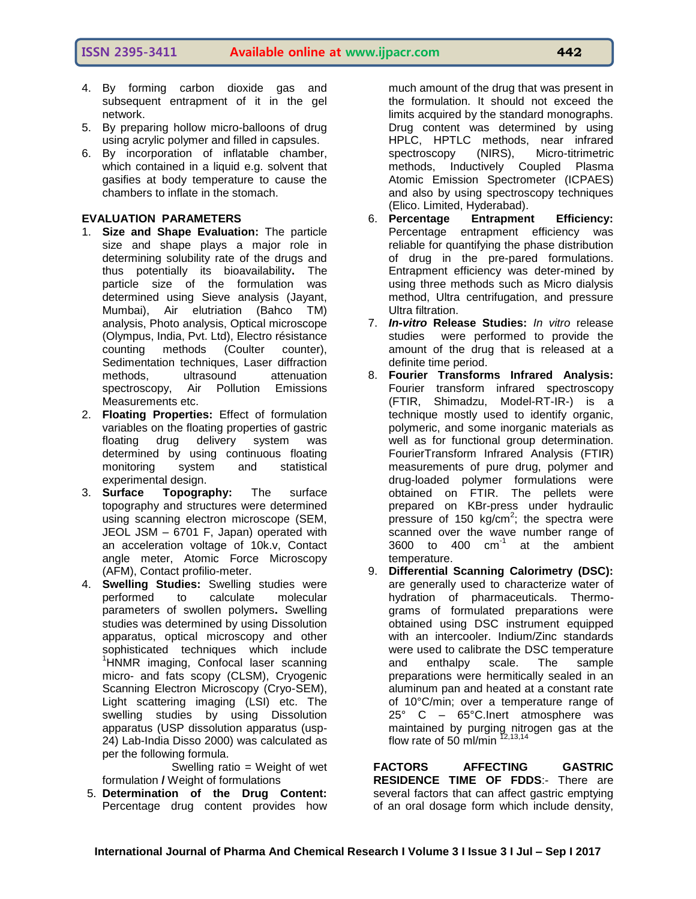- 4. By forming carbon dioxide gas and subsequent entrapment of it in the gel network.
- 5. By preparing hollow micro-balloons of drug using acrylic polymer and filled in capsules.
- 6. By incorporation of inflatable chamber, which contained in a liquid e.g. solvent that gasifies at body temperature to cause the chambers to inflate in the stomach.

#### **EVALUATION PARAMETERS**

- 1. **Size and Shape Evaluation:** The particle size and shape plays a major role in determining solubility rate of the drugs and thus potentially its bioavailability**.** The particle size of the formulation was determined using Sieve analysis (Jayant, Mumbai), Air elutriation (Bahco TM) analysis, Photo analysis, Optical microscope (Olympus, India, Pvt. Ltd), Electro résistance counting methods (Coulter counter), Sedimentation techniques, Laser diffraction methods, ultrasound attenuation spectroscopy, Air Pollution Emissions Measurements etc.
- 2. **Floating Properties:** Effect of formulation variables on the floating properties of gastric floating drug delivery system was determined by using continuous floating monitoring system and statistical experimental design.
- 3. **Surface Topography:** The surface topography and structures were determined using scanning electron microscope (SEM, JEOL JSM – 6701 F, Japan) operated with an acceleration voltage of 10k.v, Contact angle meter, Atomic Force Microscopy (AFM), Contact profilio-meter.
- 4. **Swelling Studies:** Swelling studies were performed to calculate molecular parameters of swollen polymers**.** Swelling studies was determined by using Dissolution apparatus, optical microscopy and other sophisticated techniques which include <sup>1</sup>HNMR imaging, Confocal laser scanning micro- and fats scopy (CLSM), Cryogenic Scanning Electron Microscopy (Cryo-SEM), Light scattering imaging (LSI) etc. The swelling studies by using Dissolution apparatus (USP dissolution apparatus (usp-24) Lab-India Disso 2000) was calculated as per the following formula.

 Swelling ratio = Weight of wet formulation **/** Weight of formulations

5. **Determination of the Drug Content:**  Percentage drug content provides how much amount of the drug that was present in the formulation. It should not exceed the limits acquired by the standard monographs. Drug content was determined by using HPLC, HPTLC methods, near infrared spectroscopy (NIRS), Micro-titrimetric methods, Inductively Coupled Plasma Atomic Emission Spectrometer (ICPAES) and also by using spectroscopy techniques (Elico. Limited, Hyderabad).

- 6. **Percentage Entrapment Efficiency:**  Percentage entrapment efficiency was reliable for quantifying the phase distribution of drug in the pre-pared formulations. Entrapment efficiency was deter-mined by using three methods such as Micro dialysis method, Ultra centrifugation, and pressure Ultra filtration.
- 7. *In-vitro* **Release Studies:** *In vitro* release studies were performed to provide the amount of the drug that is released at a definite time period.
- 8. **Fourier Transforms Infrared Analysis:**  Fourier transform infrared spectroscopy (FTIR, Shimadzu, Model-RT-IR-) is a technique mostly used to identify organic, polymeric, and some inorganic materials as well as for functional group determination. FourierTransform Infrared Analysis (FTIR) measurements of pure drug, polymer and drug-loaded polymer formulations were obtained on FTIR. The pellets were prepared on KBr-press under hydraulic pressure of 150 kg/cm<sup>2</sup>; the spectra were scanned over the wave number range of 3600 to 400 cm-1 at the ambient temperature.
- 9. **Differential Scanning Calorimetry (DSC):** are generally used to characterize water of hydration of pharmaceuticals. Thermograms of formulated preparations were obtained using DSC instrument equipped with an intercooler. Indium/Zinc standards were used to calibrate the DSC temperature and enthalpy scale. The sample preparations were hermitically sealed in an aluminum pan and heated at a constant rate of 10°C/min; over a temperature range of 25° C – 65°C.Inert atmosphere was maintained by purging nitrogen gas at the flow rate of 50 ml/min  $12,13,14$

**FACTORS AFFECTING GASTRIC RESIDENCE TIME OF FDDS**:- There are several factors that can affect gastric emptying of an oral dosage form which include density,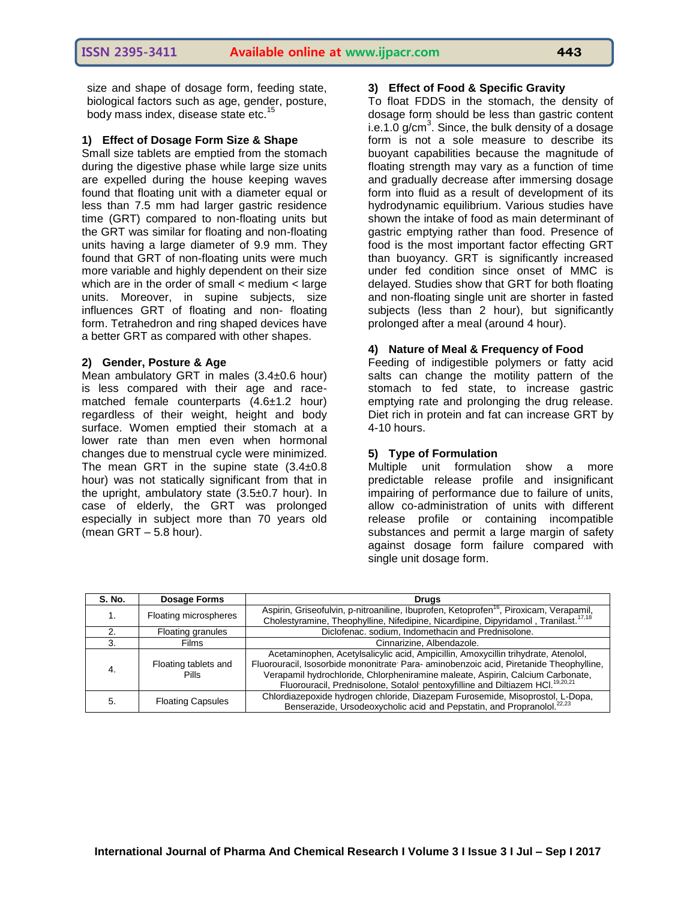size and shape of dosage form, feeding state, biological factors such as age, gender, posture, body mass index, disease state etc.<sup>1</sup>

#### **1) Effect of Dosage Form Size & Shape**

Small size tablets are emptied from the stomach during the digestive phase while large size units are expelled during the house keeping waves found that floating unit with a diameter equal or less than 7.5 mm had larger gastric residence time (GRT) compared to non-floating units but the GRT was similar for floating and non-floating units having a large diameter of 9.9 mm. They found that GRT of non-floating units were much more variable and highly dependent on their size which are in the order of small < medium < large units. Moreover, in supine subjects, size influences GRT of floating and non- floating form. Tetrahedron and ring shaped devices have a better GRT as compared with other shapes.

#### **2) Gender, Posture & Age**

Mean ambulatory GRT in males (3.4±0.6 hour) is less compared with their age and racematched female counterparts (4.6±1.2 hour) regardless of their weight, height and body surface. Women emptied their stomach at a lower rate than men even when hormonal changes due to menstrual cycle were minimized. The mean GRT in the supine state  $(3.4\pm0.8)$ hour) was not statically significant from that in the upright, ambulatory state (3.5±0.7 hour). In case of elderly, the GRT was prolonged especially in subject more than 70 years old (mean GRT – 5.8 hour).

#### **3) Effect of Food & Specific Gravity**

To float FDDS in the stomach, the density of dosage form should be less than gastric content i.e.1.0 g/cm<sup>3</sup>. Since, the bulk density of a dosage form is not a sole measure to describe its buoyant capabilities because the magnitude of floating strength may vary as a function of time and gradually decrease after immersing dosage form into fluid as a result of development of its hydrodynamic equilibrium. Various studies have shown the intake of food as main determinant of gastric emptying rather than food. Presence of food is the most important factor effecting GRT than buoyancy. GRT is significantly increased under fed condition since onset of MMC is delayed. Studies show that GRT for both floating and non-floating single unit are shorter in fasted subjects (less than 2 hour), but significantly prolonged after a meal (around 4 hour).

#### **4) Nature of Meal & Frequency of Food**

Feeding of indigestible polymers or fatty acid salts can change the motility pattern of the stomach to fed state, to increase gastric emptying rate and prolonging the drug release. Diet rich in protein and fat can increase GRT by 4-10 hours.

#### **5) Type of Formulation**

Multiple unit formulation show a more predictable release profile and insignificant impairing of performance due to failure of units, allow co-administration of units with different release profile or containing incompatible substances and permit a large margin of safety against dosage form failure compared with single unit dosage form.

| S. No. | <b>Dosage Forms</b>                  | <b>Drugs</b>                                                                                                                                                                                                                                                                                                                                               |
|--------|--------------------------------------|------------------------------------------------------------------------------------------------------------------------------------------------------------------------------------------------------------------------------------------------------------------------------------------------------------------------------------------------------------|
|        | Floating microspheres                | Aspirin, Griseofulvin, p-nitroaniline, Ibuprofen, Ketoprofen <sup>16</sup> , Piroxicam, Verapamil,<br>Cholestyramine, Theophylline, Nifedipine, Nicardipine, Dipyridamol, Tranilast. <sup>17,18</sup>                                                                                                                                                      |
|        | Floating granules                    | Diclofenac. sodium, Indomethacin and Prednisolone.                                                                                                                                                                                                                                                                                                         |
|        | Films                                | Cinnarizine, Albendazole.                                                                                                                                                                                                                                                                                                                                  |
|        | Floating tablets and<br><b>Pills</b> | Acetaminophen, Acetylsalicylic acid, Ampicillin, Amoxycillin trihydrate, Atenolol,<br>Fluorouracil, Isosorbide mononitrate Para-aminobenzoic acid, Piretanide Theophylline,<br>Verapamil hydrochloride, Chlorpheniramine maleate, Aspirin, Calcium Carbonate,<br>Fluorouracil, Prednisolone, Sotalol pentoxyfilline and Diltiazem HCl. <sup>19,20,21</sup> |
| 5.     | <b>Floating Capsules</b>             | Chlordiazepoxide hydrogen chloride, Diazepam Furosemide, Misoprostol, L-Dopa,<br>Benserazide, Ursodeoxycholic acid and Pepstatin, and Propranolol. <sup>22,23</sup>                                                                                                                                                                                        |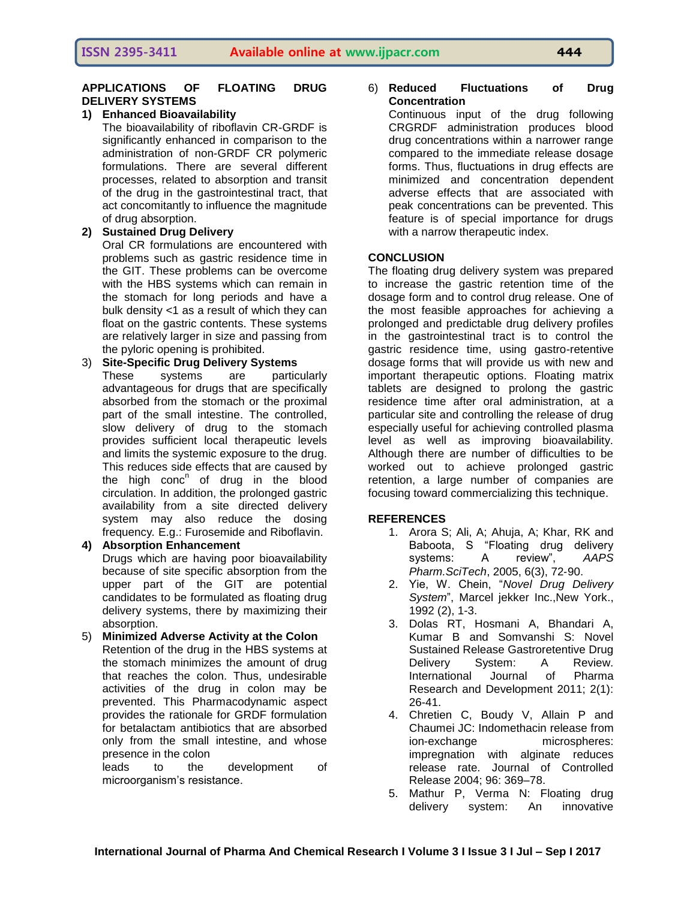## **APPLICATIONS OF FLOATING DRUG DELIVERY SYSTEMS**

## **1) Enhanced Bioavailability**

The bioavailability of riboflavin CR-GRDF is significantly enhanced in comparison to the administration of non-GRDF CR polymeric formulations. There are several different processes, related to absorption and transit of the drug in the gastrointestinal tract, that act concomitantly to influence the magnitude of drug absorption.

## **2) Sustained Drug Delivery**

Oral CR formulations are encountered with problems such as gastric residence time in the GIT. These problems can be overcome with the HBS systems which can remain in the stomach for long periods and have a bulk density <1 as a result of which they can float on the gastric contents. These systems are relatively larger in size and passing from the pyloric opening is prohibited.

#### 3) **Site-Specific Drug Delivery Systems**  These systems are particularly advantageous for drugs that are specifically absorbed from the stomach or the proximal part of the small intestine. The controlled, slow delivery of drug to the stomach provides sufficient local therapeutic levels and limits the systemic exposure to the drug. This reduces side effects that are caused by the high conc<sup>n</sup> of drug in the blood circulation. In addition, the prolonged gastric availability from a site directed delivery system may also reduce the dosing frequency*.* E.g.: Furosemide and Riboflavin.

**4) Absorption Enhancement** Drugs which are having poor bioavailability because of site specific absorption from the upper part of the GIT are potential candidates to be formulated as floating drug delivery systems, there by maximizing their absorption.

#### 5) **Minimized Adverse Activity at the Colon** Retention of the drug in the HBS systems at the stomach minimizes the amount of drug that reaches the colon. Thus, undesirable activities of the drug in colon may be prevented. This Pharmacodynamic aspect provides the rationale for GRDF formulation for betalactam antibiotics that are absorbed only from the small intestine, and whose presence in the colon

leads to the development of microorganism's resistance.

#### 6) **Reduced Fluctuations of Drug Concentration**

Continuous input of the drug following CRGRDF administration produces blood drug concentrations within a narrower range compared to the immediate release dosage forms. Thus, fluctuations in drug effects are minimized and concentration dependent adverse effects that are associated with peak concentrations can be prevented. This feature is of special importance for drugs with a narrow therapeutic index.

## **CONCLUSION**

The floating drug delivery system was prepared to increase the gastric retention time of the dosage form and to control drug release. One of the most feasible approaches for achieving a prolonged and predictable drug delivery profiles in the gastrointestinal tract is to control the gastric residence time, using gastro-retentive dosage forms that will provide us with new and important therapeutic options. Floating matrix tablets are designed to prolong the gastric residence time after oral administration, at a particular site and controlling the release of drug especially useful for achieving controlled plasma level as well as improving bioavailability. Although there are number of difficulties to be worked out to achieve prolonged gastric retention, a large number of companies are focusing toward commercializing this technique.

### **REFERENCES**

- 1. Arora S; Ali, A; Ahuja, A; Khar, RK and Baboota, S "Floating drug delivery systems: A review", *AAPS Pharm.SciTech*, 2005, 6(3), 72‐90.
- 2. Yie, W. Chein, "*Novel Drug Delivery System*", Marcel jekker Inc.,New York., 1992 (2), 1-3.
- 3. Dolas RT, Hosmani A, Bhandari A, Kumar B and Somvanshi S: Novel Sustained Release Gastroretentive Drug Delivery System: A Review. International Journal of Pharma Research and Development 2011; 2(1): 26-41.
- 4. Chretien C, Boudy V, Allain P and Chaumei JC: Indomethacin release from ion-exchange microspheres: impregnation with alginate reduces release rate. Journal of Controlled Release 2004; 96: 369–78.
- 5. Mathur P, Verma N: Floating drug delivery system: An innovative